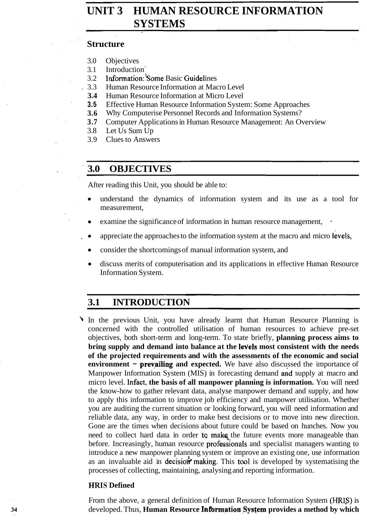# **UNIT 3 HUMAN RESOURCE INFORMATION SYSTEMS**

#### **Structure**

- 3.0 Objectives
- 3.1 Introduction '
- 3.2 **Information: Some Basic Guidelines**<br>3.3 Human Resource Information at Mac
	- . 3.3 Human Resource Information at Macro Level
- **3.4 Human Resource Information at Micro Level <br><b>3.5** Effective Human Resource Information Syste
- **3.5** Effective Human Resource Information System: Some Approaches
- **3.6** Why Computerise Personnel Records and Information Systems?
- **3.7** Computer Applications in Human Resource Management: An Overview
- 3.8 Let Us Sum Up
- 3.9 Clues to Answers

### **3.0 OBJECTIVES**

After reading this Unit, you should be able to:

- understand the dynamics of information system and its use as a tool for measurement,
- examine the significance of information in human resource management,
- appreciate the approaches to the information system at the macro and micro levels,
- consider the shortcomings of manual information system, and
- discuss merits of computerisation and its applications in effective Human Resource  $\bullet$ Information System.

## **3.1 INTRODUCTION**

In the previous Unit, you have already learnt that Human Resource Planning is concerned with the controlled utilisation of human resources to achieve pre-set objectives, both short-term and long-term. To state briefly, **planning process aims to bring supply and demand into balance at the levels most consistent with the needs of the projected requirements and with the assessments of the economic and social environment – prevailing and expected.** We have also discussed the importance of Manpower Information System (MIS) in forecasting demand and supply at macro and micro level. Infact, **the basis of all manpower planning is information.** You will need the know-how to gather relevant data, analyse manpower demand and supply, and how to apply this information to improve job efficiency and manpower utilisation. Whether you are auditing the current situation or looking forward, you will need information and reliable data, any way, in order to make best decisions or to move into new direction. Gone are the times when decisions about future could be based on hunches. Now you need to collect hard data in order to make the future events more manageable than before. Increasingly, human resource profesiionals and specialist managers wanting to introduce a new manpower planning system or improve an existing one, use information as an invaluable aid in decision making. This tool is developed by systematising the processes of collecting, maintaining, analysing and reporting information.

### **HRIS Defined**

From the above, a general definition of Human Resource Information System (HRIS) is developed. Thus, **Human Resource Information System provides a method by which**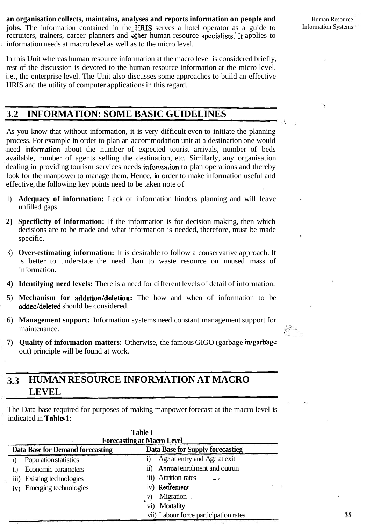**an organisation collects, maintains, analyses and reports information on people and** *Human Resource* **jobs.** The information contained in the HRIS serves a hotel operator as a guide to Information Systems recruiters, trainers, career planners and wher human resource specialists. It applies to information needs at macro level as well as to the micro level.

In this Unit whereas human resource information at the macro level is considered briefly, rest of the discussion is devoted to the human resource information at the micro level, i.e., the enterprise level. The Unit also discusses some approaches to build an effective HRIS and the utility of computer applications in this regard.

### **3.2 INFORMATION: SOME BASIC GUIDELINES**

As you know that without information, it is very difficult even to initiate the planning process. For example in order to plan an accommodation unit at a destination one would need infonnation about the number of expected tourist arrivals, number of beds available, number of agents selling the destination, etc. Similarly, any organisation dealing in providing tourism services needs infonnation to plan operations and thereby look for the manpower to manage them. Hence, in order to make information useful and effective, the following key points need to be taken note of

- **1) Adequacy of information:** Lack of information hinders planning and will leave unfilled gaps.
- **2) Specificity of information:** If the information is for decision making, then which decisions are to be made and what information is needed, therefore, must be made specific.
- 3) **Over-estimating information:** It is desirable to follow a conservative approach. It is better to understate the need than to waste resource on unused mass of information.
- **4) Identifying need levels:** There is a need for different levels of detail of information.
- 5) **Mechanism for addition/deletion:** The how and when of information to be added/deleted should be considered.
- 6) **Management support:** Information systems need constant management support for maintenance.
- **7) Ouality of information matters:** Otherwise, the famous GIGO (garbage in/garbage) out) principle will be found at work.

### **3.3 HUMAN RESOURCE INFORMATION AT MACRO LEVEL**

The Data base required for purposes of making manpower forecast at the macro level is indicated in **Table 1:** 

| Table 1<br><b>Forecasting at Macro Level</b> |                                           |  |  |  |
|----------------------------------------------|-------------------------------------------|--|--|--|
| <b>Data Base for Demand forecasting</b>      | <b>Data Base for Supply forecastieg</b>   |  |  |  |
| Population statistics<br>$\mathbf{i}$        | Age at entry and Age at exit              |  |  |  |
| Economic parameters<br>$\overline{11}$       | <b>Annual enrolment and outrun</b>        |  |  |  |
| Existing technologies<br>$\ddot{\mathbf{u}}$ | iii) Attrition rates<br>$\sim$ $\epsilon$ |  |  |  |
| Emerging technologies<br>iv)                 | iv) Retirement                            |  |  |  |
|                                              | Migration,                                |  |  |  |
|                                              | vi) Mortality                             |  |  |  |
|                                              | vii) Labour force participation rates     |  |  |  |

E.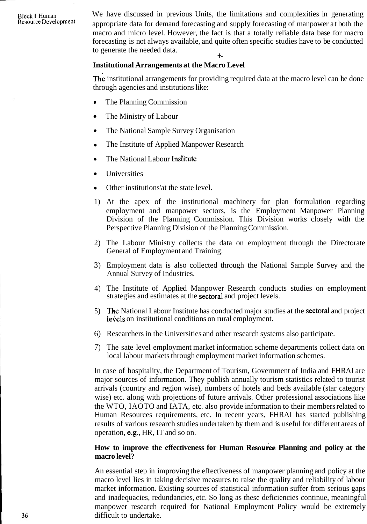Block I Human We have discussed in previous Units, the limitations and complexities in generating Resource Development appropriate data for demand forecasting and supply forecasting of mannower at both the appropriate data for demand forecasting and supply forecasting of manpower at both the macro and micro level. However, the fact is that a totally reliable data base for macro forecasting is not always available, and quite often specific studies have to be conducted to generate the needed data. +-

#### **Institutional Arrangements at the Macro Level**

The institutional arrangements for providing required data at the macro level can be done through agencies and institutions like:

- The Planning Commission
- $\bullet$ The Ministry of Labour
- The National Sample Survey Organisation  $\bullet$
- The Institute of Applied Manpower Research  $\bullet$
- The National Labour Institute  $\bullet$
- Universities  $\bullet$
- Other institutions'at the state level.  $\bullet$
- 1) At the apex of the institutional machinery for plan formulation regarding employment and manpower sectors, is the Employment Manpower Planning Division of the Planning Commission. This Division works closely with the Perspective Planning Division of the Planning Commission.
- 2) The Labour Ministry collects the data on employment through the Directorate General of Employment and Training.
- 3) Employment data is also collected through the National Sample Survey and the Annual Survey of Industries.
- 4) The Institute of Applied Manpower Research conducts studies on employment strategies and estimates at the sectoral and project levels.
- 5) The National Labour Institute has conducted major studies at the **sectoral** and project levels on institutional conditions on rural employment.
- 6) Researchers in the Universities and other research systems also participate.
- 7) The sate level employment market information scheme departments collect data on local labour markets through employment market information schemes.

In case of hospitality, the Department of Tourism, Government of India and FHRAI are major sources of information. They publish annually tourism statistics related to tourist arrivals (country and region wise), numbers of hotels and beds available (star category wise) etc. along with projections of future arrivals. Other professional associations like the WTO, IAOTO and IATA, etc. also provide information to their members related to Human Resources requirements, etc. In recent years, FHRAI has started publishing results of various research studies undertaken by them and is useful for different areas of operation, e.g., HR, IT and so on.

#### How to improve the effectiveness for Human Resource Planning and policy at the **macro level?**

An essential step in improving the effectiveness of manpower planning and policy at the macro level lies in taking decisive measures to raise the quality and reliability of labour market information. Existing sources of statistical information suffer from serious gaps and inadequacies, redundancies, etc. So long as these deficiencies continue, meaningful. manpower research required for National Employment Policy would be extremely difficult to undertake.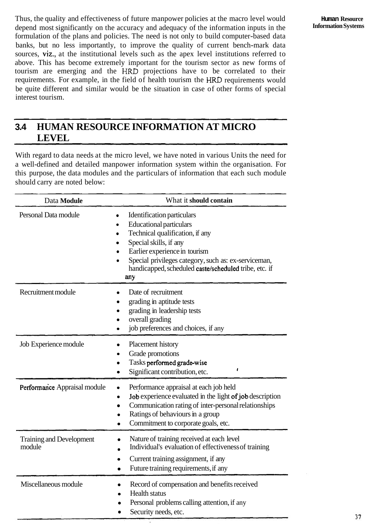Thus, the quality and effectiveness of future manpower policies at the macro level would depend most significantly on the accuracy and adequacy of the information inputs in the formulation of the plans and policies. The need is not only to build computer-based data banks, but no less importantly, to improve the quality of current bench-mark data sources, viz., at the institutional levels such as the apex level institutions referred to above. This has become extremely important for the tourism sector as new forms of tourism are emerging and the HRD projections have to be correlated to their requirements. For example, in the field of health tourism the **HRD** requirements would be quite different and similar would be the situation in case of other forms of special interest tourism.

# **3.4 HUMAN RESOURCE INFORMATION AT MICRO LEVEL**

With regard to data needs at the micro level, we have noted in various Units the need for a well-defined and detailed manpower information system within the organisation. For this purpose, the data modules and the particulars of information that each such module should carry are noted below:

| Data Module                        | What it should contain                                                                                                                                                                                                                                                                                                         |
|------------------------------------|--------------------------------------------------------------------------------------------------------------------------------------------------------------------------------------------------------------------------------------------------------------------------------------------------------------------------------|
| Personal Data module               | Identification particulars<br>$\bullet$<br><b>Educational particulars</b><br>Technical qualification, if any<br>$\bullet$<br>Special skills, if any<br>$\bullet$<br>Earlier experience in tourism<br>٠<br>Special privileges category, such as: ex-serviceman,<br>handicapped, scheduled caste/scheduled tribe, etc. if<br>any |
| Recruitment module                 | Date of recruitment<br>grading in aptitude tests<br>grading in leadership tests<br>overall grading<br>job preferences and choices, if any                                                                                                                                                                                      |
| Job Experience module              | Placement history<br>Grade promotions<br>Tasks performed grade-wise<br>ŧ<br>Significant contribution, etc.                                                                                                                                                                                                                     |
| Performance Appraisal module       | Performance appraisal at each job held<br>$\bullet$<br>Job experience evaluated in the light of job description<br>Communication rating of inter-personal relationships<br>Ratings of behaviours in a group<br>Commitment to corporate goals, etc.                                                                             |
| Training and Development<br>module | Nature of training received at each level<br>Individual's evaluation of effectiveness of training<br>Current training assignment, if any<br>Future training requirements, if any<br>$\bullet$                                                                                                                                  |
| Miscellaneous module               | Record of compensation and benefits received<br><b>Health status</b><br>Personal problems calling attention, if any<br>Security needs, etc.                                                                                                                                                                                    |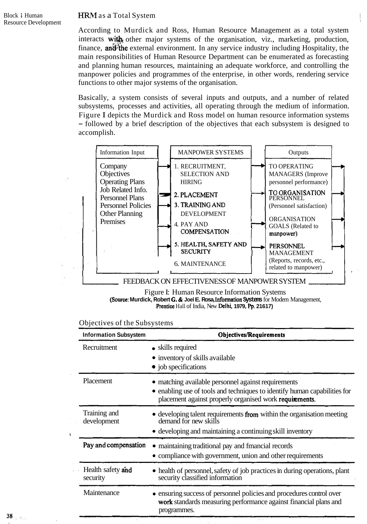#### **HRM** as a Total System

According to Murdick and Ross, Human Resource Management as a total system  $interacts$  with other major systems of the organisation, viz., marketing, production, finance, and the external environment. In any service industry including Hospitality, the main responsibilities of Human Resource Department can be enumerated as forecasting and planning human resources, maintaining an adequate workforce, and controlling the manpower policies and programmes of the enterprise, in other words, rendering service functions to other major systems of the organisation.

Basically, a system consists of several inputs and outputs, and a number of related subsystems, processes and activities, all operating through the medium of information. Figure I depicts the Murdick and Ross model on human resource information systems - followed by a brief description of the objectives that each subsystem is designed to accomplish. The MANPOWER SYSTEMS<br>
Information Inputs and the enterprise, in other words, rendering service<br>
Instituted and outputs and outputs, and a number of related<br>
Information. I depicts the Murdick and Ross model on human resour



Figure I: Human Resource Information Systems (Source: **Murdick, Robert G.** & **Joel E. Rosa,** Information **Systems** for Modem Management, Prentice Hall of India, New Delhi, **1979, Pp. 21617)** 

| <b>Information Subsystem</b> |                               | <b>Objectives/Requirements</b>                                                                                                                                                              |  |
|------------------------------|-------------------------------|---------------------------------------------------------------------------------------------------------------------------------------------------------------------------------------------|--|
|                              | Recruitment                   | • skills required<br>• inventory of skills available<br>• job specifications                                                                                                                |  |
|                              | Placement                     | • matching available personnel against requirements<br>• enabling use of tools and techniques to identify human capabilities for<br>placement against properly organised work requirements. |  |
|                              | Training and<br>development   | • developing talent requirements from within the organisation meeting<br>demand for new skills<br>• developing and maintaining a continuing skill inventory                                 |  |
|                              | Pay and compensation          | • maintaining traditional pay and fmancial records<br>• compliance with government, union and other requirements                                                                            |  |
|                              | Health safety and<br>security | • health of personnel, safety of job practices in during operations, plant<br>security classified information                                                                               |  |
|                              | Maintenance                   | • ensuring success of personnel policies and procedures control over<br>work standards measuring performance against financial plans and<br>programmes.                                     |  |

#### Objectives of the Subsystems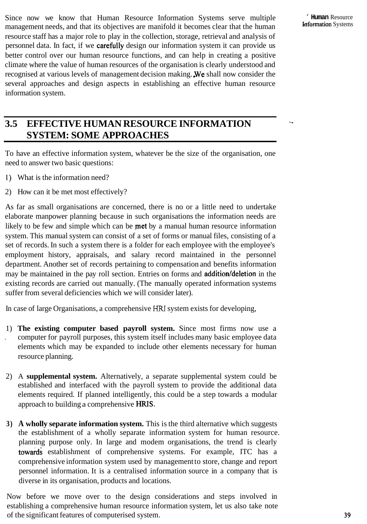Since now we know that Human Resource Information Systems serve multiple ' **Human** Resource<br>management packs and that its objectives are manifold it becomes clear that the human management needs, and that its objectives are manifold it becomes clear that the human resource staff has a major role to play in the collection, storage, retrieval and analysis of personnel data. In fact, if we carefuliy design our information system it can provide us better control over our human resource functions, and can help in creating a positive climate where the value of human resources of the organisation is clearly understood and recognised at various levels of management decision making. We shall now consider the several approaches and design aspects in establishing an effective human resource information system.

## **3.5 EFFECTIVE HUMAN RESOURCE INFORMATION** -. **SYSTEM: SOME APPROACHES**

To have an effective information system, whatever be the size of the organisation, one need to answer two basic questions:

- I) What is the information need?
- 2) How can it be met most effectively?

As far as small organisations are concerned, there is no or a little need to undertake elaborate manpower planning because in such organisations the information needs are likely to be few and simple which can be **met** by a manual human resource information system. This manual system can consist of a set of forms or manual files, consisting of a set of records. In such a system there is a folder for each employee with the employee's employment history, appraisals, and salary record maintained in the personnel department. Another set of records pertaining to compensation and benefits information may be maintained in the pay roll section. Entries on forms and **addition/deletion** in the existing records are carried out manually. (The manually operated information systems suffer from several deficiencies which we will consider later).

In case of large Organisations, a comprehensive HRI system exists for developing,

- 1) **The existing computer based payroll system.** Since most firms now use a . computer for payroll purposes, this system itself includes many basic employee data elements which may be expanded to include other elements necessary for human resource planning.
- 2) A **supplemental system.** Alternatively, a separate supplemental system could be established and interfaced with the payroll system to provide the additional data elements required. If planned intelligently, this could be a step towards a modular approach to building a comprehensive HRIS.
- **3) A wholly separate information system.** This is the third alternative which suggests the establishment of a wholly separate information system for human resource. planning purpose only. In large and modem organisations, the trend is clearly toward; establishment of comprehensive systems. For example, ITC has a comprehensive information system used by management to store, change and report personnel information. It is a centralised information source in a company that is diverse in its organisation, products and locations.

Now before we move over to the design considerations and steps involved in establishing a comprehensive human resource information system, let us also take note of the significant features of computerised system. **39**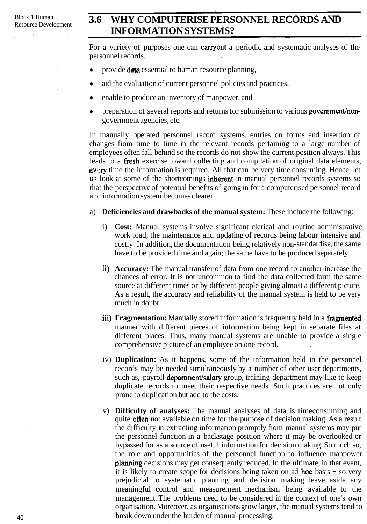## Block 1 Human **3.6 WHY COMPUTERISE PERSONNEL RECORDS AND INFORMATION SYSTEMS?**

For a variety of purposes one can **carryout** a periodic and systematic analyses of the personnel records.

- provide **data** essential to human resource planning,
- aid the evaluation of current personnel policies and practices,
- enable to produce an inventory of manpower, and  $\bullet$
- $\bullet$ preparation of several reports and returns for submission to various **government**/nongovernment agencies, etc.

In manually .operated personnel record systems, entries on forms and insertion of changes fiom time to time in the relevant records pertaining to a large number of employees often fall behind so the records do not show the current position always. This leads to a fiesh exercise toward collecting and compilation of original data elements,  $eV$ ery time the information is required. All that can be very time consuming. Hence, let **1.13** look at some of the shortcomings inberent in manual personnel records systems so that the perspective of potential benefits of going in for a computerised personnel record and information system becomes clearer.

#### a) **Deficiencies and drawbacks of the manual system:** These include the following:

- i) **Cost:** Manual systems involve significant clerical and routine administrative work load, the maintenance and updating of records being labour intensive and costly. In addition, the documentation being relatively non-standardise, the same have to be provided time and again; the same have to be produced separately.
- ii) **Accuracy:** The manual transfer of data from one record to another increase the chances of error. It is not uncommon to find the data collected form the same source at different times or by different people giving almost a different picture. As a result, the accuracy and reliability of the manual system is held to be very much in doubt.
- iii) **Fragmentation:** Manually stored information is frequently held in a fragmented manner with different pieces of information being kept in separate files at different places. Thus, many manual systems are unable to provide a single comprehensive picture of an employee on one record.
- iv) **Duplication:** As it happens, some of the information held in the personnel records may be needed simultaneously by a number of other user departments, such as, payroll department/salary group, training department may like to keep duplicate records to meet their respective needs. Such practices are not only prone to duplication but add to the costs.
- v) **Difficulty of analyses:** The manual analyses of data is timeconsuming and quite often not available on time for the purpose of decision making. As a result the difficulty in extracting information promptly fiom manual systems may put the personnel function in a backstage position where it may be overlooked or bypassed for as a source of useful information for decision making. So much so, the role and opportunities of the personnel function to influence manpower planning decisions may get consequently reduced. In the ultimate, in that event, it is likely to create scope for decisions being taken on ad hoc basis - so very prejudicial to systematic planning and decision making leave aside any meaningful control and measurement mechanism being available to the management. The problems need to be considered in the context of one's own organisation. Moreover, as organisations grow larger, the manual systems tend to break down under the burden of manual processing.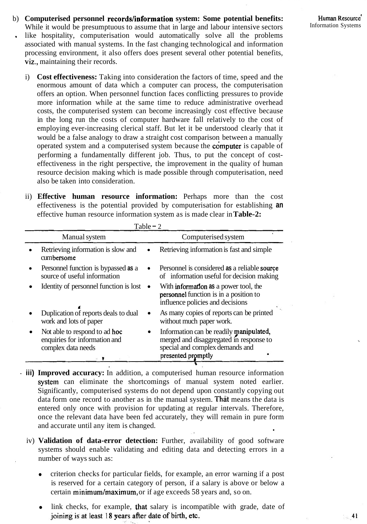- b) **Computerised personnel records/information system: Some potential benefits:**  While it would be presumptuous to assume that in large and labour intensive sectors Information Systems like hospitality, computerisation would automatically solve all the problems associated with manual systems. In the fast changing technological and information processing environment, it also offers does present several other potential benefits, viz., maintaining their records.
	- i) **Cost effectiveness:** Taking into consideration the factors of time, speed and the enormous amount of data which a computer can process, the computerisation offers an option. When personnel function faces conflicting pressures to provide more information while at the same time to reduce administrative overhead costs, the computerised system can become increasingly cost effective because in the long run the costs of computer hardware fall relatively to the cost of employing ever-increasing clerical staff. But let it be understood clearly that it would be a false analogy to draw a straight cost comparison between a manually operated system and a computerised system because the **computer** is capable of performing a fundamentally different job. Thus, to put the concept of costeffectiveness in the right perspective, the improvement in the quality of human resource decision making which is made possible through computerisation, need also be taken into consideration.
	- ii) **Effective human resource information:** Perhaps more than the cost effectiveness is the potential provided by computerisation for establishing **an**  effective human resource information system as is made clear in **Table-2:**

| Table $-2$ |                                                                                      |   |                                                                                                                       |  |  |
|------------|--------------------------------------------------------------------------------------|---|-----------------------------------------------------------------------------------------------------------------------|--|--|
|            | Manual system                                                                        |   | Computerised system                                                                                                   |  |  |
|            | Retrieving information is slow and<br>cumbersome                                     |   | Retrieving information is fast and simple                                                                             |  |  |
|            | Personnel function is bypassed as a<br>source of useful information                  |   | Personnel is considered as a reliable source<br>of information useful for decision making                             |  |  |
|            | Identity of personnel function is lost                                               | ٠ | With information as a power tool, the<br>personnel function is in a position to<br>influence policies and decisions   |  |  |
|            | Duplication of reports deals to dual<br>work and lots of paper                       |   | As many copies of reports can be printed<br>without much paper work.                                                  |  |  |
|            | Not able to respond to ad hoc<br>enquiries for information and<br>complex data needs | ٠ | Information can be readily manipulated,<br>merged and disaggregated in response to<br>special and complex demands and |  |  |
|            |                                                                                      |   | presented promptly                                                                                                    |  |  |

- **iii) Improved accuracy:** In addition, a computerised human resource information system can eliminate the shortcomings of manual system noted earlier. Significantly, computerised systems do not depend upon constantly copying out data form one record to another as in the manual system. That means the data is entered only once with provision for updating at regular intervals. Therefore, once the relevant data have been fed accurately, they will remain in pure form and accurate until any item is changed.
	- iv) **Validation of data-error detection:** Further, availability of good software systems should enable validating and editing data and detecting errors in a number of ways such as:
		- criterion checks for particular fields, for example, an error warning if a post is reserved for a certain category of person, if a salary is above or below a certain minimum/maximum, or if age exceeds 58 years and, so on.
		- link checks, for example, that salary is incompatible with grade, date of joining is at least 18 years after date of birth, etc.

 $\frac{1}{2}$  41

 $\tilde{\Sigma}$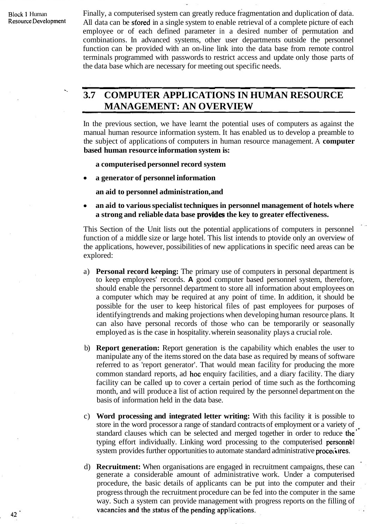Block 1 Human Finally, a computerised system can greatly reduce fragmentation and duplication of data.<br>Resource Development All data can be sfored in a single system to enable retrieval of a complete picture of each All data can be stored in a single system to enable retrieval of a complete picture of each employee or of each defined parameter in a desired number of permutation and combinations. In advanced systems, other user departments outside the personnel function can be provided with an on-line link into the data base from remote control terminals programmed with passwords to restrict access and update only those parts of the data base which are necessary for meeting out specific needs.

### " **3.7 COMPUTER APPLICATIONS IN HUMAN RESOURCE MANAGEMENT: AN OVERVIEW**

In the previous section, we have learnt the potential uses of computers as against the manual human resource information system. It has enabled us to develop a preamble to the subject of applications of computers in human resource management. A **computer based human resource information system is:** 

**a computerised personnel record system** 

**a generator of personnel information** 

**an aid to personnel administration, and** 

**an aid to various specialist techniques in personnel management of hotels where**  a strong and reliable data base **provides** the key to greater effectiveness.

This Section of the Unit lists out the potential applications of computers in personnel function of a middle size or large hotel. This list intends to ptovide only an overview of the applications, however, possibilities of new applications in specific need areas can be explored:

- a) **Personal record keeping:** The primary use of computers in personal department is to keep employees' records. **A** good computer based personnel system, therefore, should enable the personnel department to store all information about employees on a computer which may be required at any point of time. In addition, it should be possible for the user to keep historical files of past employees for purposes of identifying trends and making projections when developing human resource plans. It can also have personal records of those who can be temporarily or seasonally employed as is the case in hospitality. wherein seasonality plays a crucial role.
- b) **Report generation:** Report generation is the capability which enables the user to manipulate any of the items stored on the data base as required by means of software referred to as 'report generator'. That would mean facility for producing the more common standard reports, ad hoc enquiry facilities, and a diary facility. The diary facility can be called up to cover a certain period of time such as the forthcoming month, and will produce a list of action required by the personnel department on the basis of information held in the data base.
- c) **Word processing and integrated letter writing:** With this facility it is possible to store in the word processor a range of standard contracts of employment or a variety of standard clauses which can be selected and merged together in order to reduce the typing effort individually. Linking word processing to the computerised personnel system provides further opportunities to automate standard administrative procedures.
- d) **Recruitment:** When organisations are engaged in recruitment campaigns, these can generate a considerable amount of administrative work. Under a computerised procedure, the basic details of applicants can be put into the computer and their progress through the recruitment procedure can be fed into the computer in the same way. Such a system can provide management with progress reports on the filling of vacancies and the status of the pending applications.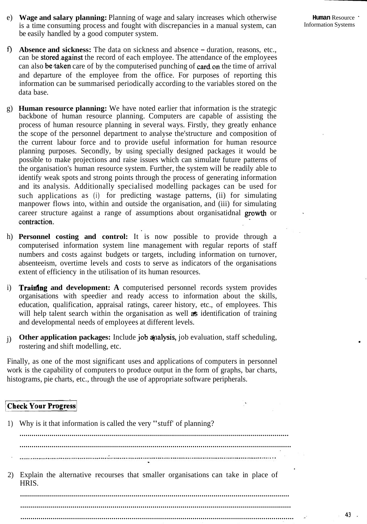- e) **Wage and salary planning:** Planning of wage and salary increases which otherwise **Human** Resource  $\cdot$  is a time consuming process and fought with discrepancies in a manual system can is a time consuming process and fought with discrepancies in a manual system, can be easily handled by a good computer system.
	-
- f) **Absence and sickness:** The data on sickness and absence duration, reasons, etc., can be stored against the record of each employee. The attendance of the employees can also be taken care of by the computerised punching of card on the time of arrival and departure of the employee from the office. For purposes of reporting this information can be summarised periodically according to the variables stored on the data base.
- g) **Human resource planning:** We have noted earlier that information is the strategic backbone of human resource planning. Computers are capable of assisting the process of human resource planning in several ways. Firstly, they greatly enhance the scope of the personnel department to analyse the'structure and composition of the current labour force and to provide useful information for human resource planning purposes. Secondly, by using specially designed packages it would be possible to make projections and raise issues which can simulate future patterns of the organisation's human resource system. Further, the system will be readily able to identify weak spots and strong points through the process of generating information and its analysis. Additionally specialised modelling packages can be used for such applications as (i) for predicting wastage patterns, (ii) for simulating manpower flows into, within and outside the organisation, and (iii) for simulating career structure against a range of assumptions about organisatidnal growth or contraction.
- h) **Personnel costing and control:** It is now possible to provide through a computerised information system line management with regular reports of staff numbers and costs against budgets or targets, including information on turnover, absenteeism, overtime levels and costs to serve as indicators of the organisations extent of efficiency in the utilisation of its human resources.
- i) **Trairtfng and development: A** computerised personnel records system provides organisations with speedier and ready access to information about the skills, education, qualification, appraisal ratings, career history, etc., of employees. This will help talent search within the organisation as well **as** identification of training and developmental needs of employees at different levels.
- j) Other application packages: Include job analysis, job evaluation, staff scheduling, rostering and shift modelling, etc.

Finally, as one of the most significant uses and applications of computers in personnel work is the capability of computers to produce output in the form of graphs, bar charts, histograms, pie charts, etc., through the use of appropriate software peripherals.

#### **Check Your Progress**

| Why is it that information is called the very "stuff" of planning?                         |
|--------------------------------------------------------------------------------------------|
|                                                                                            |
|                                                                                            |
| Explain the alternative recourses that smaller organisations can take in place of<br>HRIS. |
|                                                                                            |
|                                                                                            |